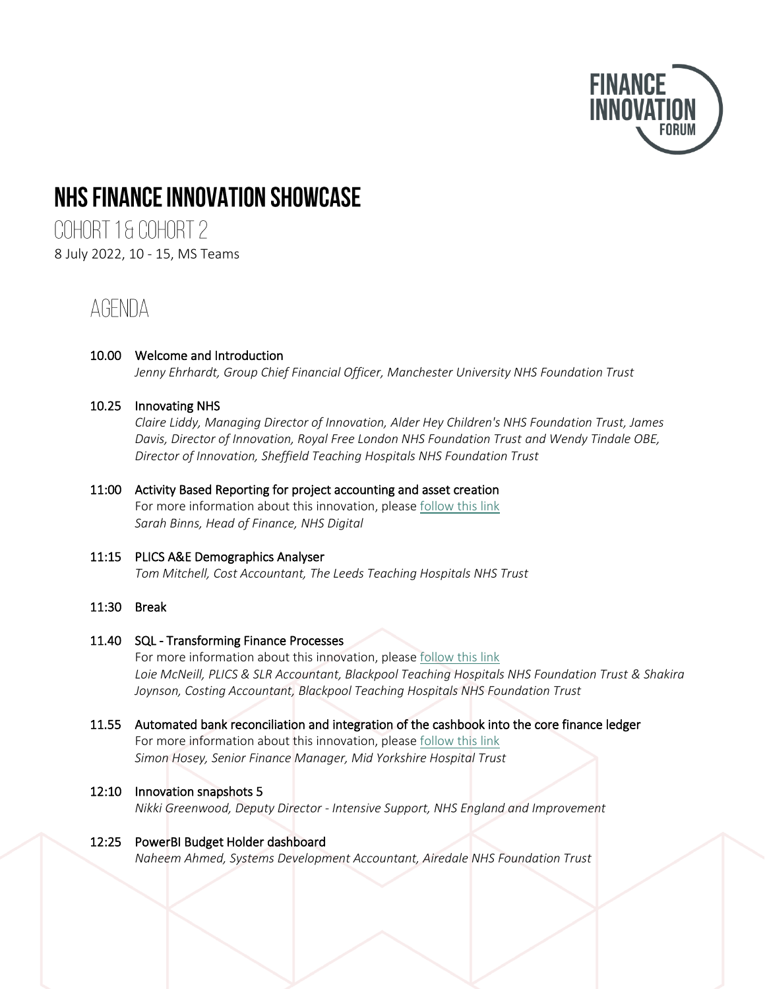

# NHS FINANCE INNOVATION SHOWCASE

COHORT 1& COHORT 2 8 July 2022, 10 - 15, MS Teams

# **AGENDA**

#### 10.00 Welcome and Introduction *Jenny Ehrhardt, Group Chief Financial Officer, Manchester University NHS Foundation Trust*

# 10.25 Innovating NHS

*Claire Liddy, Managing Director of Innovation, Alder Hey Children's NHS Foundation Trust, James Davis, Director of Innovation, Royal Free London NHS Foundation Trust and Wendy Tindale OBE, Director of Innovation, Sheffield Teaching Hospitals NHS Foundation Trust*

#### 11:00 Activity Based Reporting for project accounting and asset creation For more information about this innovation, please [follow this link](https://onenhsfinance.nhs.uk/the-finance-innovation-forum/innovation-programme/innovations/innovation-l2/) *Sarah Binns, Head of Finance, NHS Digital*

# 11:15 PLICS A&E Demographics Analyser *Tom Mitchell, Cost Accountant, The Leeds Teaching Hospitals NHS Trust*

### 11:30 Break

### 11.40 SQL - Transforming Finance Processes

For more information about this innovation, please [follow this link](https://onenhsfinance.nhs.uk/the-finance-innovation-forum/innovation-programme/innovations/innovation-b2/) *Loie McNeill, PLICS & SLR Accountant, Blackpool Teaching Hospitals NHS Foundation Trust & Shakira Joynson, Costing Accountant, Blackpool Teaching Hospitals NHS Foundation Trust*

### 11.55 Automated bank reconciliation and integration of the cashbook into the core finance ledger For more information about this innovation, please [follow this link](https://onenhsfinance.nhs.uk/the-finance-innovation-forum/innovation-programme/innovations/innovation-a2/) *Simon Hosey, Senior Finance Manager, Mid Yorkshire Hospital Trust*

### 12:10 Innovation snapshots 5

*Nikki Greenwood, Deputy Director - Intensive Support, NHS England and Improvement*

### 12:25 PowerBI Budget Holder dashboard

*Naheem Ahmed, Systems Development Accountant, Airedale NHS Foundation Trust*